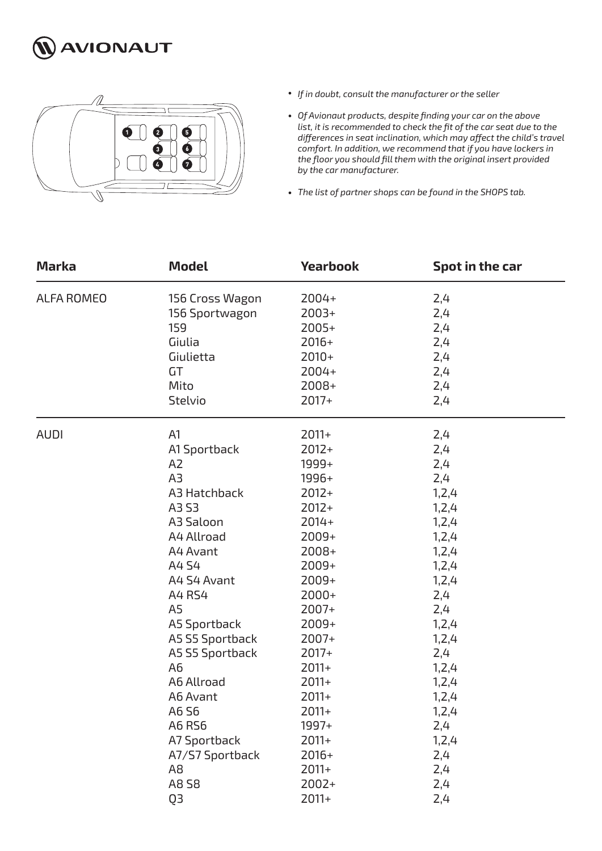



- *If in doubt, consult the manufacturer or the seller*
- *Of Avionaut products, despite finding your car on the above list, it is recommended to check the fit of the car seat due to the differences in seat inclination, which may affect the child's travel comfort. In addition, we recommend that if you have lockers in the floor you should fill them with the original insert provided by the car manufacturer.*
- *The list of partner shops can be found in the SHOPS tab.*

| <b>Marka</b> | <b>Model</b>    | <b>Yearbook</b> | Spot in the car |
|--------------|-----------------|-----------------|-----------------|
| ALFA ROMEO   | 156 Cross Wagon | 2004+           | 2,4             |
|              | 156 Sportwagon  | $2003+$         | 2,4             |
|              | 159             | $2005+$         | 2,4             |
|              | Giulia          | $2016+$         | 2,4             |
|              | Giulietta       | $2010+$         | 2,4             |
|              | GT              | $2004+$         | 2,4             |
|              | Mito            | 2008+           | 2,4             |
|              | Stelvio         | $2017+$         | 2,4             |
| <b>AUDI</b>  | A1              | $2011+$         | 2,4             |
|              | A1 Sportback    | $2012+$         | 2,4             |
|              | A <sub>2</sub>  | 1999+           | 2,4             |
|              | A <sub>3</sub>  | 1996+           | 2,4             |
|              | A3 Hatchback    | $2012+$         | 1, 2, 4         |
|              | A3 S3           | $2012+$         | 1, 2, 4         |
|              | A3 Saloon       | $2014+$         | 1, 2, 4         |
|              | A4 Allroad      | $2009+$         | 1, 2, 4         |
|              | A4 Avant        | 2008+           | 1, 2, 4         |
|              | A4 S4           | $2009+$         | 1, 2, 4         |
|              | A4 S4 Avant     | 2009+           | 1, 2, 4         |
|              | A4 RS4          | $2000+$         | 2,4             |
|              | A <sub>5</sub>  | $2007+$         | 2,4             |
|              | A5 Sportback    | $2009+$         | 1,2,4           |
|              | A5 S5 Sportback | $2007+$         | 1, 2, 4         |
|              | A5 S5 Sportback | $2017+$         | 2,4             |
|              | A <sub>6</sub>  | $2011+$         | 1, 2, 4         |
|              | A6 Allroad      | $2011+$         | 1, 2, 4         |
|              | A6 Avant        | $2011+$         | 1,2,4           |
|              | A6 S6           | 2011+           | 1,2,4           |
|              | A6 RS6          | 1997+           | 2,4             |
|              | A7 Sportback    | $2011+$         | 1,2,4           |
|              | A7/S7 Sportback | $2016+$         | 2,4             |
|              | A <sub>8</sub>  | $2011+$         | 2,4             |
|              | A8 58           | $2002+$         | 2,4             |
|              | Q3              | $2011+$         | 2,4             |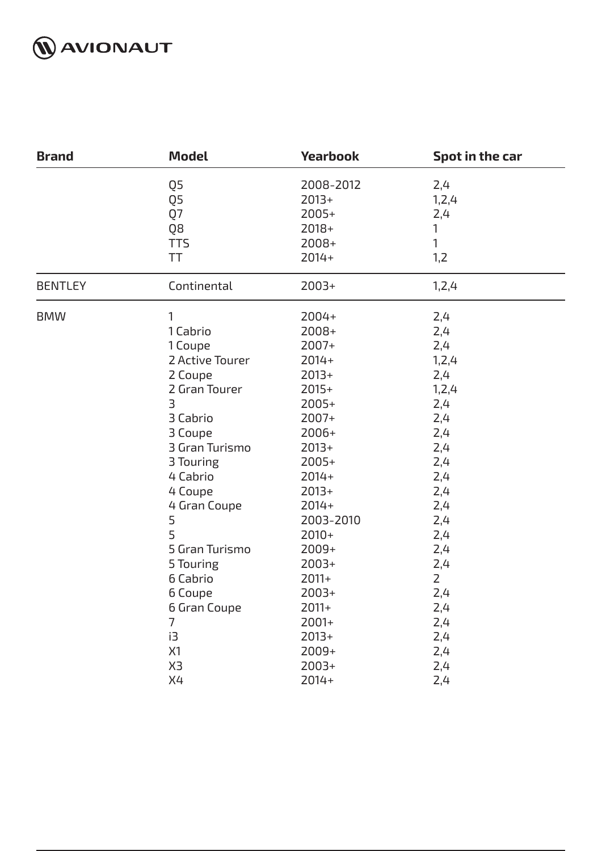

| <b>Brand</b>   | <b>Model</b>     | <b>Yearbook</b>                 | Spot in the car       |
|----------------|------------------|---------------------------------|-----------------------|
|                | Q5<br>Q5<br>Q7   | 2008-2012<br>$2013+$<br>$2005+$ | 2,4<br>1, 2, 4<br>2,4 |
|                | Q8<br><b>TTS</b> | 2018+<br>2008+                  | 1<br>1                |
|                | TT               | $2014+$                         | 1,2                   |
| <b>BENTLEY</b> | Continental      | $2003+$                         | 1,2,4                 |
| <b>BMW</b>     | 1                | 2004+                           | 2,4                   |
|                | 1 Cabrio         | 2008+                           | 2,4                   |
|                | 1 Coupe          | 2007+                           | 2,4                   |
|                | 2 Active Tourer  | $2014+$                         | 1, 2, 4               |
|                | 2 Coupe          | $2013+$                         | 2,4                   |
|                | 2 Gran Tourer    | $2015+$                         | 1, 2, 4               |
|                | 3                | $2005+$                         | 2,4                   |
|                | 3 Cabrio         | 2007+                           | 2,4                   |
|                | 3 Coupe          | 2006+                           | 2,4                   |
|                | 3 Gran Turismo   | $2013+$                         | 2,4                   |
|                | 3 Touring        | $2005+$                         | 2,4                   |
|                | 4 Cabrio         | $2014+$                         | 2,4                   |
|                | 4 Coupe          | $2013+$                         | 2,4                   |
|                | 4 Gran Coupe     | $2014+$                         | 2,4                   |
|                | 5                | 2003-2010                       | 2,4                   |
|                | 5                | $2010+$                         | 2,4                   |
|                | 5 Gran Turismo   | $2009+$                         | 2,4                   |
|                | 5 Touring        | $2003+$                         | 2,4                   |
|                | 6 Cabrio         | $2011+$                         | $\overline{2}$        |
|                | 6 Coupe          | $2003+$                         | 2,4                   |
|                | 6 Gran Coupe     | $2011+$                         | 2,4                   |
|                | 7                | $2001+$                         | 2,4                   |
|                | i3               | $2013+$                         | 2,4                   |
|                | X1               | 2009+                           | 2,4                   |
|                | X3               | $2003+$                         | 2,4                   |
|                | X4               | $2014+$                         | 2,4                   |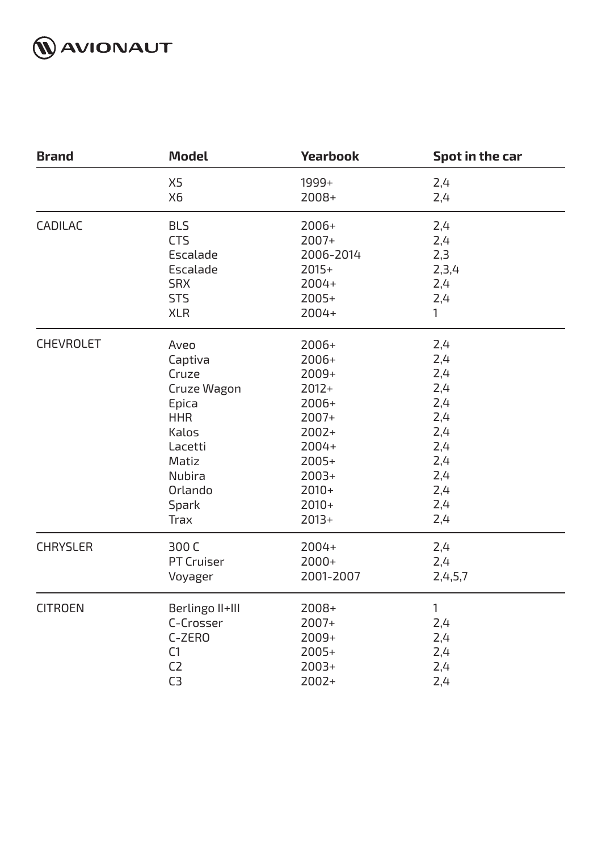

| <b>Brand</b>     | <b>Model</b>      | <b>Yearbook</b> | Spot in the car |
|------------------|-------------------|-----------------|-----------------|
|                  | X <sub>5</sub>    | 1999+           | 2,4             |
|                  | X6                | 2008+           | 2,4             |
| <b>CADILAC</b>   | <b>BLS</b>        | 2006+           | 2,4             |
|                  | <b>CTS</b>        | 2007+           | 2,4             |
|                  | Escalade          | 2006-2014       | 2,3             |
|                  | Escalade          | $2015+$         | 2,3,4           |
|                  | <b>SRX</b>        | 2004+           | 2,4             |
|                  | <b>STS</b>        | $2005+$         | 2,4             |
|                  | <b>XLR</b>        | 2004+           | 1               |
| <b>CHEVROLET</b> | Aveo              | 2006+           | 2,4             |
|                  | Captiva           | 2006+           | 2,4             |
|                  | Cruze             | 2009+           | 2,4             |
|                  | Cruze Wagon       | $2012+$         | 2,4             |
|                  | Epica             | 2006+           | 2,4             |
|                  | <b>HHR</b>        | 2007+           | 2,4             |
|                  | Kalos             | $2002+$         | 2,4             |
|                  | Lacetti           | 2004+           | 2,4             |
|                  | Matiz             | $2005+$         | 2,4             |
|                  | Nubira            | $2003+$         | 2,4             |
|                  | Orlando           | $2010+$         | 2,4             |
|                  | <b>Spark</b>      | $2010+$         | 2,4             |
|                  | <b>Trax</b>       | $2013+$         | 2,4             |
| <b>CHRYSLER</b>  | 300 C             | 2004+           | 2,4             |
|                  | <b>PT Cruiser</b> | $2000+$         | 2,4             |
|                  | Voyager           | 2001-2007       | 2,4,5,7         |
| <b>CITROEN</b>   | Berlingo II+III   | 2008+           | 1               |
|                  | C-Crosser         | 2007+           | 2,4             |
|                  | C-ZERO            | 2009+           | 2,4             |
|                  | C1                | $2005+$         | 2,4             |
|                  | C <sub>2</sub>    | $2003+$         | 2,4             |
|                  | C <sub>3</sub>    | 2002+           | 2,4             |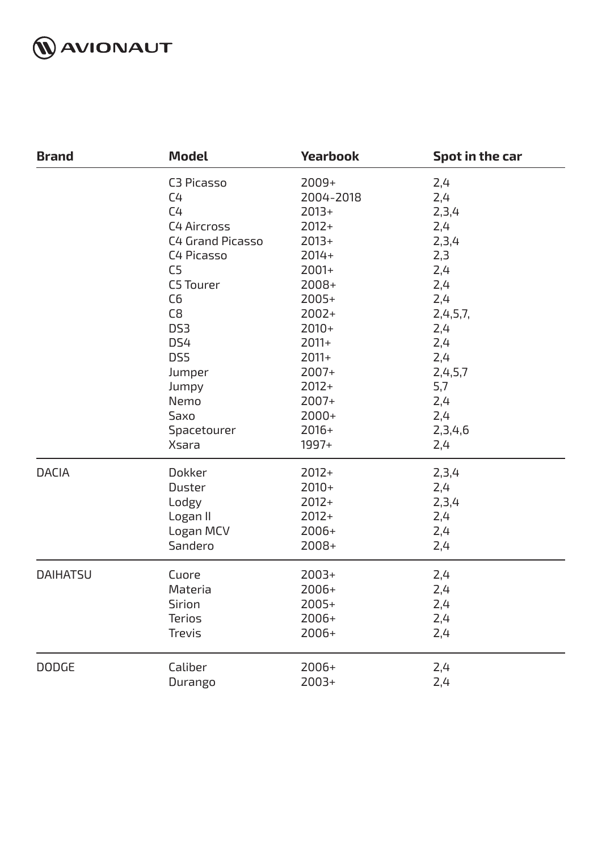

| <b>Brand</b>    | <b>Model</b>       | <b>Yearbook</b> | Spot in the car |
|-----------------|--------------------|-----------------|-----------------|
|                 | C3 Picasso         | 2009+           | 2,4             |
|                 | C <sub>4</sub>     | 2004-2018       | 2,4             |
|                 | C <sub>4</sub>     | $2013+$         | 2,3,4           |
|                 | <b>C4 Aircross</b> | $2012+$         | 2,4             |
|                 | C4 Grand Picasso   | $2013+$         | 2,3,4           |
|                 | C4 Picasso         | $2014+$         | 2,3             |
|                 | C <sub>5</sub>     | $2001+$         | 2,4             |
|                 | C5 Tourer          | $2008+$         | 2,4             |
|                 | C <sub>6</sub>     | $2005+$         | 2,4             |
|                 | C8                 | $2002+$         | 2,4,5,7,        |
|                 | DS <sub>3</sub>    | $2010+$         | 2,4             |
|                 | DS4                | $2011+$         | 2,4             |
|                 | DS5                | $2011+$         | 2,4             |
|                 | Jumper             | 2007+           | 2,4,5,7         |
|                 | Jumpy              | $2012+$         | 5,7             |
|                 | Nemo               | $2007+$         | 2,4             |
|                 | Saxo               | $2000+$         | 2,4             |
|                 | Spacetourer        | $2016+$         | 2,3,4,6         |
|                 | <b>Xsara</b>       | 1997+           | 2,4             |
| <b>DACIA</b>    | Dokker             | $2012+$         | 2,3,4           |
|                 | <b>Duster</b>      | $2010+$         | 2,4             |
|                 | Lodgy              | $2012+$         | 2,3,4           |
|                 | Logan II           | $2012+$         | 2,4             |
|                 | Logan MCV          | $2006+$         | 2,4             |
|                 | Sandero            | $2008+$         | 2,4             |
| <b>DAIHATSU</b> | Cuore              | $2003+$         | 2,4             |
|                 | Materia            | $2006+$         | 2,4             |
|                 | Sirion             | 2005+           | 2,4             |
|                 | <b>Terios</b>      | 2006+           | 2,4             |
|                 | Trevis             | $2006+$         | 2,4             |
| <b>DODGE</b>    | Caliber            | 2006+           | 2,4             |
|                 | Durango            | $2003+$         | 2,4             |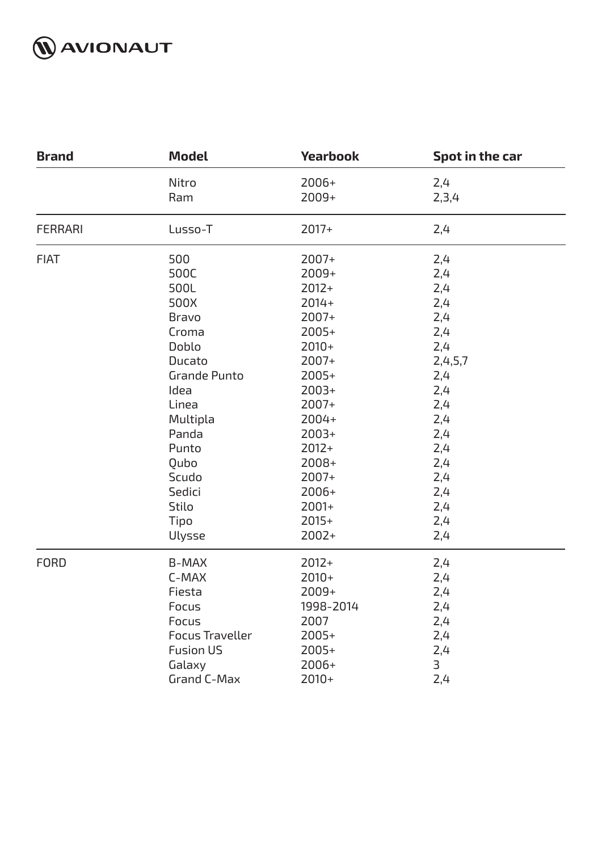

| <b>Brand</b>   | <b>Model</b>           | <b>Yearbook</b> | Spot in the car |
|----------------|------------------------|-----------------|-----------------|
|                | Nitro                  | 2006+           | 2,4             |
|                | Ram                    | 2009+           | 2,3,4           |
| <b>FERRARI</b> | Lusso-T                | $2017+$         | 2,4             |
| <b>FIAT</b>    | 500                    | 2007+           | 2,4             |
|                | 500C                   | 2009+           | 2,4             |
|                | 500L                   | $2012+$         | 2,4             |
|                | 500X                   | $2014+$         | 2,4             |
|                | <b>Bravo</b>           | $2007+$         | 2,4             |
|                | Croma                  | $2005+$         | 2,4             |
|                | Doblo                  | $2010+$         | 2,4             |
|                | Ducato                 | 2007+           | 2,4,5,7         |
|                | <b>Grande Punto</b>    | $2005+$         | 2,4             |
|                | Idea                   | $2003+$         | 2,4             |
|                | Linea                  | 2007+           | 2,4             |
|                | Multipla               | 2004+           | 2,4             |
|                | Panda                  | $2003+$         | 2,4             |
|                | Punto                  | $2012+$         | 2,4             |
|                | Qubo                   | 2008+           | 2,4             |
|                | Scudo                  | 2007+           | 2,4             |
|                | Sedici                 | 2006+           | 2,4             |
|                | <b>Stilo</b>           | $2001+$         | 2,4             |
|                | Tipo                   | $2015+$         | 2,4             |
|                | Ulysse                 | $2002+$         | 2,4             |
| <b>FORD</b>    | <b>B-MAX</b>           | $2012+$         | 2,4             |
|                | C-MAX                  | $2010+$         | 2,4             |
|                | Fiesta                 | 2009+           | 2,4             |
|                | Focus                  | 1998-2014       | 2,4             |
|                | Focus                  | 2007            | 2,4             |
|                | <b>Focus Traveller</b> | $2005+$         | 2,4             |
|                | <b>Fusion US</b>       | $2005+$         | 2,4             |
|                | Galaxy                 | $2006+$         | 3               |
|                | Grand C-Max            | $2010+$         | 2,4             |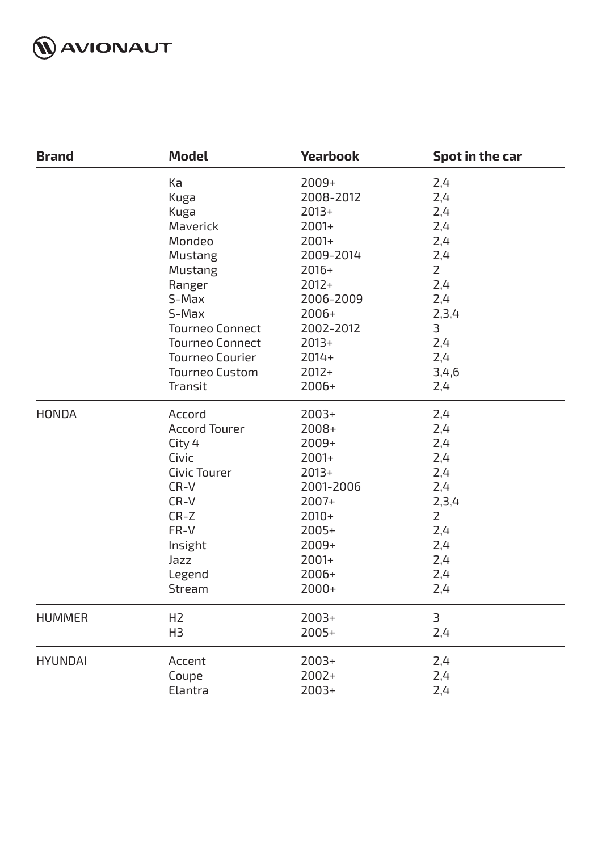

| <b>Brand</b>   | <b>Model</b>           | <b>Yearbook</b> | Spot in the car |
|----------------|------------------------|-----------------|-----------------|
|                | Ka                     | 2009+           | 2,4             |
|                | Kuga                   | 2008-2012       | 2,4             |
|                | Kuga                   | $2013+$         | 2,4             |
|                | Maverick               | 2001+           | 2,4             |
|                | Mondeo                 | $2001+$         | 2,4             |
|                | Mustang                | 2009-2014       | 2,4             |
|                | <b>Mustang</b>         | $2016+$         | $\overline{2}$  |
|                | Ranger                 | $2012+$         | 2,4             |
|                | S-Max                  | 2006-2009       | 2,4             |
|                | S-Max                  | $2006+$         | 2,3,4           |
|                | <b>Tourneo Connect</b> | 2002-2012       | 3               |
|                | <b>Tourneo Connect</b> | $2013+$         | 2,4             |
|                | <b>Tourneo Courier</b> | $2014+$         | 2,4             |
|                | <b>Tourneo Custom</b>  | $2012+$         | 3,4,6           |
|                | Transit                | 2006+           | 2,4             |
| <b>HONDA</b>   | Accord                 | $2003+$         | 2,4             |
|                | <b>Accord Tourer</b>   | 2008+           | 2,4             |
|                | City 4                 | 2009+           | 2,4             |
|                | Civic                  | $2001+$         | 2,4             |
|                | Civic Tourer           | $2013+$         | 2,4             |
|                | $CR-V$                 | 2001-2006       | 2,4             |
|                | $CR-V$                 | 2007+           | 2,3,4           |
|                | $CR-Z$                 | $2010+$         | $\overline{2}$  |
|                | FR-V                   | $2005+$         | 2,4             |
|                | Insight                | $2009+$         | 2,4             |
|                | Jazz                   | 2001+           | 2,4             |
|                | Legend                 | $2006+$         | 2,4             |
|                | Stream                 | 2000+           | 2,4             |
| <b>HUMMER</b>  | H <sub>2</sub>         | $2003+$         | 3               |
|                | H <sub>3</sub>         | 2005+           | 2,4             |
| <b>HYUNDAI</b> | Accent                 | $2003+$         | 2,4             |
|                | Coupe                  | $2002+$         | 2,4             |
|                | Elantra                | $2003+$         | 2,4             |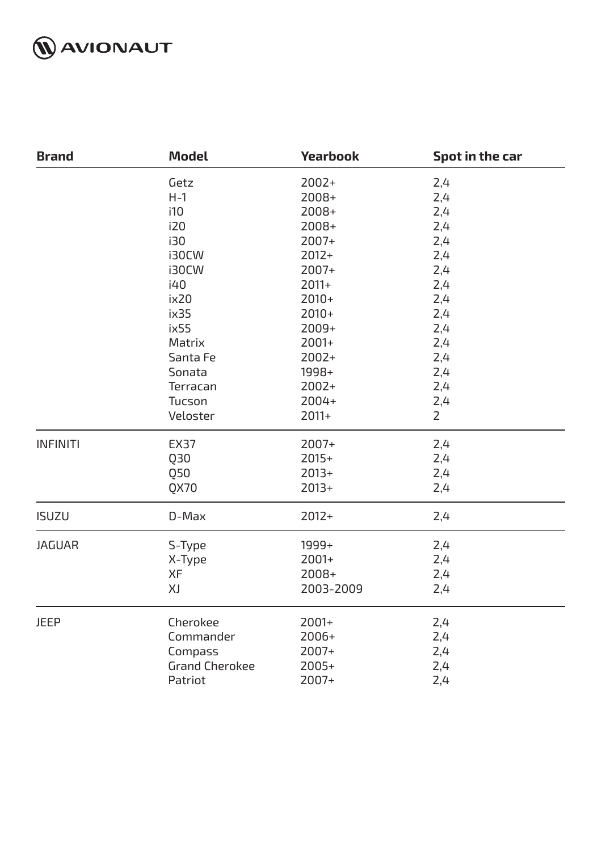

| <b>Brand</b>    | <b>Model</b>          | <b>Yearbook</b> | Spot in the car |
|-----------------|-----------------------|-----------------|-----------------|
|                 | Getz                  | $2002+$         | 2,4             |
|                 | $H-1$                 | 2008+           | 2,4             |
|                 | i10                   | 2008+           | 2,4             |
|                 | i20                   | 2008+           | 2,4             |
|                 | i30                   | 2007+           | 2,4             |
|                 | i30CW                 | $2012+$         | 2,4             |
|                 | i30CW                 | $2007+$         | 2,4             |
|                 | i40                   | $2011+$         | 2,4             |
|                 | ix20                  | $2010+$         | 2,4             |
|                 | ix35                  | $2010+$         | 2,4             |
|                 | ix55                  | $2009+$         | 2,4             |
|                 | Matrix                | $2001+$         | 2,4             |
|                 | Santa Fe              | $2002+$         | 2,4             |
|                 | Sonata                | 1998+           | 2,4             |
|                 | Terracan              | $2002+$         | 2,4             |
|                 | Tucson                | $2004+$         | 2,4             |
|                 | Veloster              | $2011+$         | $\overline{2}$  |
| <b>INFINITI</b> | <b>EX37</b>           | 2007+           | 2,4             |
|                 | Q30                   | $2015+$         | 2,4             |
|                 | Q50                   | $2013+$         | 2,4             |
|                 | QX70                  | $2013+$         | 2,4             |
| <b>ISUZU</b>    | D-Max                 | $2012+$         | 2,4             |
| <b>JAGUAR</b>   | S-Type                | 1999+           | 2,4             |
|                 | X-Type                | 2001+           | 2,4             |
|                 | XF                    | $2008+$         | 2,4             |
|                 | XJ                    | 2003-2009       | 2,4             |
| <b>JEEP</b>     | Cherokee              | 2001+           | 2,4             |
|                 | Commander             | 2006+           | 2,4             |
|                 | Compass               | 2007+           | 2,4             |
|                 | <b>Grand Cherokee</b> | 2005+           | 2,4             |
|                 | Patriot               | 2007+           | 2,4             |
|                 |                       |                 |                 |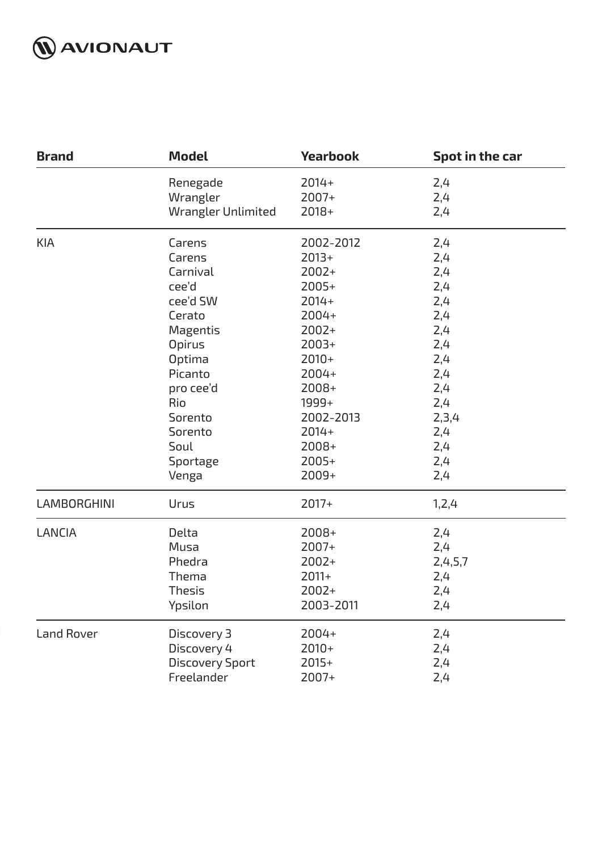

| <b>Brand</b>       | <b>Model</b>           | <b>Yearbook</b> | Spot in the car |
|--------------------|------------------------|-----------------|-----------------|
|                    | Renegade               | $2014+$         | 2,4             |
|                    | Wrangler               | $2007+$         | 2,4             |
|                    | Wrangler Unlimited     | 2018+           | 2,4             |
| <b>KIA</b>         | Carens                 | 2002-2012       | 2,4             |
|                    | Carens                 | $2013+$         | 2,4             |
|                    | Carnival               | $2002+$         | 2,4             |
|                    | cee'd                  | $2005+$         | 2,4             |
|                    | cee'd SW               | $2014+$         | 2,4             |
|                    | Cerato                 | 2004+           | 2,4             |
|                    | Magentis               | $2002+$         | 2,4             |
|                    | <b>Opirus</b>          | $2003+$         | 2,4             |
|                    | Optima                 | $2010+$         | 2,4             |
|                    | Picanto                | $2004+$         | 2,4             |
|                    | pro cee'd              | $2008+$         | 2,4             |
|                    | Rio                    | 1999+           | 2,4             |
|                    | Sorento                | 2002-2013       | 2,3,4           |
|                    | Sorento                | $2014+$         | 2,4             |
|                    | Soul                   | $2008+$         | 2,4             |
|                    | Sportage               | $2005+$         | 2,4             |
|                    | Venga                  | 2009+           | 2,4             |
| <b>LAMBORGHINI</b> | Urus                   | $2017+$         | 1,2,4           |
| <b>LANCIA</b>      | Delta                  | 2008+           | 2,4             |
|                    | Musa                   | $2007+$         | 2,4             |
|                    | Phedra                 | $2002+$         | 2,4,5,7         |
|                    | Thema                  | $2011+$         | 2,4             |
|                    | <b>Thesis</b>          | $2002+$         | 2,4             |
|                    | Ypsilon                | 2003-2011       | 2,4             |
| <b>Land Rover</b>  | Discovery 3            | 2004+           | 2,4             |
|                    | Discovery 4            | $2010+$         | 2,4             |
|                    | <b>Discovery Sport</b> | $2015+$         | 2,4             |
|                    | Freelander             | 2007+           | 2,4             |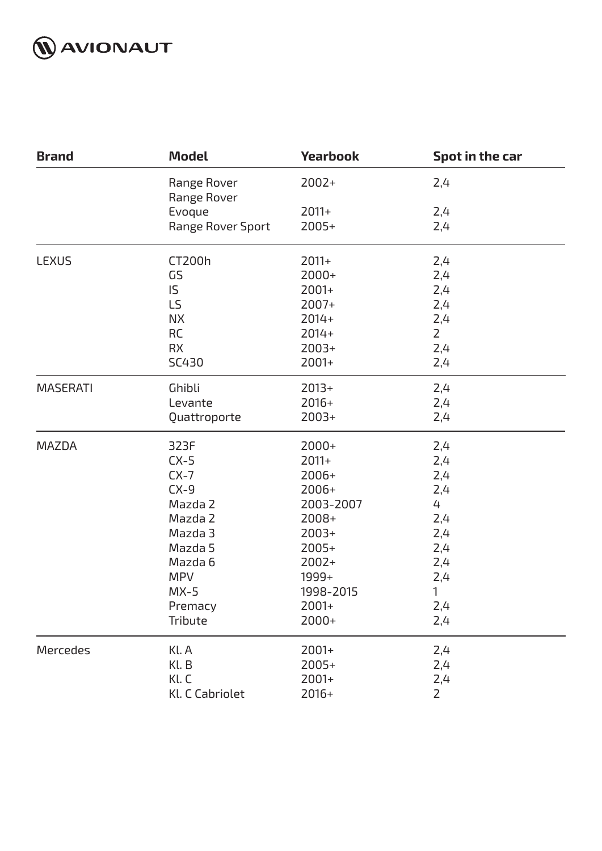

| <b>Brand</b>    | <b>Model</b>               | <b>Yearbook</b> | Spot in the car |
|-----------------|----------------------------|-----------------|-----------------|
|                 | Range Rover<br>Range Rover | $2002+$         | 2,4             |
|                 | Evoque                     | $2011+$         | 2,4             |
|                 | Range Rover Sport          | $2005+$         | 2,4             |
| <b>LEXUS</b>    | CT200h                     | $2011+$         | 2,4             |
|                 | GS                         | 2000+           | 2,4             |
|                 | IS.                        | $2001+$         | 2,4             |
|                 | LS                         | 2007+           | 2,4             |
|                 | <b>NX</b>                  | $2014+$         | 2,4             |
|                 | <b>RC</b>                  | $2014+$         | $\overline{2}$  |
|                 | <b>RX</b>                  | $2003+$         | 2,4             |
|                 | SC430                      | $2001+$         | 2,4             |
| <b>MASERATI</b> | Ghibli                     | $2013+$         | 2,4             |
|                 | Levante                    | $2016+$         | 2,4             |
|                 | Quattroporte               | $2003+$         | 2,4             |
| <b>MAZDA</b>    | 323F                       | $2000+$         | 2,4             |
|                 | $CX-5$                     | $2011+$         | 2,4             |
|                 | $CX-7$                     | 2006+           | 2,4             |
|                 | $CX-9$                     | $2006+$         | 2,4             |
|                 | Mazda 2                    | 2003-2007       | 4               |
|                 | Mazda 2                    | 2008+           | 2,4             |
|                 | Mazda 3                    | $2003+$         | 2,4             |
|                 | Mazda 5                    | $2005+$         | 2,4             |
|                 | Mazda 6                    | $2002+$         | 2,4             |
|                 | <b>MPV</b>                 | 1999+           | 2,4             |
|                 | $MX-5$                     | 1998-2015       | 1               |
|                 | Premacy                    | $2001+$         | 2,4             |
|                 | Tribute                    | 2000+           | 2,4             |
| Mercedes        | Kl. A                      | 2001+           | 2,4             |
|                 | Kl. B                      | 2005+           | 2,4             |
|                 | Kl. C                      | 2001+           | 2,4             |
|                 | Kl. C Cabriolet            | $2016+$         | $2^{\circ}$     |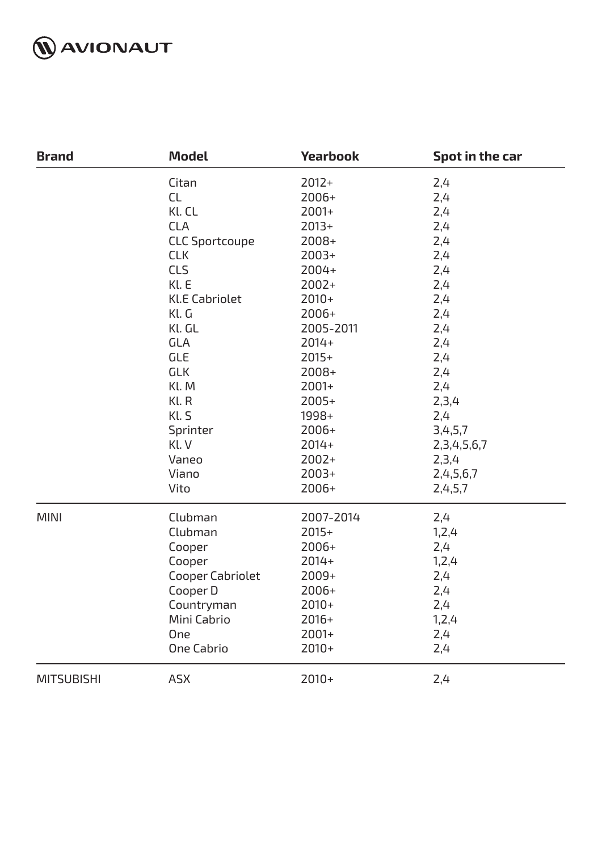

| <b>Brand</b>      | <b>Model</b>          | <b>Yearbook</b> | Spot in the car  |
|-------------------|-----------------------|-----------------|------------------|
|                   | Citan                 | $2012+$         | 2,4              |
|                   | <b>CL</b>             | $2006+$         | 2,4              |
|                   | Kl. CL                | 2001+           | 2,4              |
|                   | <b>CLA</b>            | $2013+$         | 2,4              |
|                   | <b>CLC Sportcoupe</b> | $2008+$         | 2,4              |
|                   | <b>CLK</b>            | $2003+$         | 2,4              |
|                   | <b>CLS</b>            | $2004+$         | 2,4              |
|                   | Kl. E                 | 2002+           | 2,4              |
|                   | <b>Kl.E Cabriolet</b> | $2010+$         | 2,4              |
|                   | Kl. G                 | $2006+$         | 2,4              |
|                   | Kl. GL                | 2005-2011       | 2,4              |
|                   | <b>GLA</b>            | $2014+$         | 2,4              |
|                   | <b>GLE</b>            | $2015+$         | 2,4              |
|                   | <b>GLK</b>            | $2008+$         | 2,4              |
|                   | Kl. M                 | $2001+$         | 2,4              |
|                   | Kl. R                 | $2005+$         | 2,3,4            |
|                   | Kl. S                 | 1998+           | 2,4              |
|                   | Sprinter              | $2006+$         | 3,4,5,7          |
|                   | Kl. V                 | $2014+$         | 2, 3, 4, 5, 6, 7 |
|                   | Vaneo                 | $2002+$         | 2,3,4            |
|                   | Viano                 | $2003+$         | 2,4,5,6,7        |
| <b>MINI</b>       | Vito                  | $2006+$         | 2,4,5,7          |
|                   | Clubman               | 2007-2014       | 2,4              |
|                   | Clubman               | $2015+$         | 1, 2, 4          |
|                   | Cooper                | $2006+$         | 2,4              |
|                   | Cooper                | $2014+$         | 1, 2, 4          |
|                   | Cooper Cabriolet      | $2009+$         | 2,4              |
|                   | Cooper D              | 2006+           | 2,4              |
|                   | Countryman            | $2010+$         | 2,4              |
|                   | Mini Cabrio           | $2016+$         | 1, 2, 4          |
|                   | One                   | $2001+$         | 2,4              |
|                   | <b>One Cabrio</b>     | $2010+$         | 2,4              |
| <b>MITSUBISHI</b> | <b>ASX</b>            | $2010+$         | 2,4              |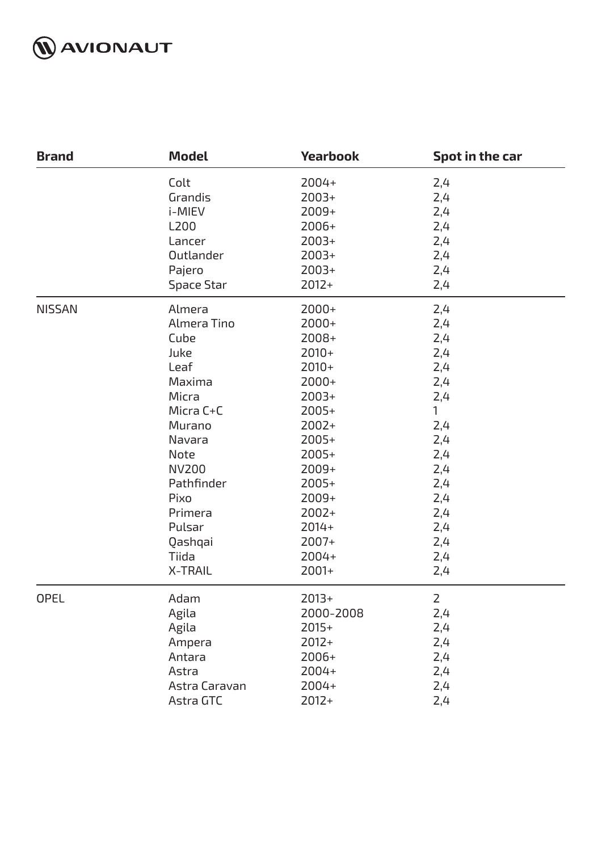

| <b>Brand</b>  | <b>Model</b>      | <b>Yearbook</b> | Spot in the car |
|---------------|-------------------|-----------------|-----------------|
|               | Colt              | 2004+           | 2,4             |
|               | Grandis           | $2003+$         | 2,4             |
|               | i-MIEV            | 2009+           | 2,4             |
|               | L200              | $2006+$         | 2,4             |
|               | Lancer            | $2003+$         | 2,4             |
|               | Outlander         | $2003+$         | 2,4             |
|               | Pajero            | $2003+$         | 2,4             |
|               | <b>Space Star</b> | $2012+$         | 2,4             |
| <b>NISSAN</b> | Almera            | $2000+$         | 2,4             |
|               | Almera Tino       | $2000+$         | 2,4             |
|               | Cube              | $2008+$         | 2,4             |
|               | Juke              | $2010+$         | 2,4             |
|               | Leaf              | $2010+$         | 2,4             |
|               | Maxima            | $2000+$         | 2,4             |
|               | Micra             | $2003+$         | 2,4             |
|               | Micra C+C         | $2005+$         | $\mathbf{1}$    |
|               | Murano            | $2002+$         | 2,4             |
|               | Navara            | $2005+$         | 2,4             |
|               | Note              | $2005+$         | 2,4             |
|               | <b>NV200</b>      | $2009+$         | 2,4             |
|               | Pathfinder        | $2005+$         | 2,4             |
|               | Pixo              | 2009+           | 2,4             |
|               | Primera           | $2002+$         | 2,4             |
|               | Pulsar            | $2014+$         | 2,4             |
|               | Qashqai           | $2007+$         | 2,4             |
|               | Tiida             | 2004+           | 2,4             |
|               | <b>X-TRAIL</b>    | $2001+$         | 2,4             |
| <b>OPEL</b>   | Adam              | $2013+$         | $\overline{2}$  |
|               | Agila             | 2000-2008       | 2,4             |
|               | Agila             | $2015+$         | 2,4             |
|               | Ampera            | $2012+$         | 2,4             |
|               | Antara            | $2006+$         | 2,4             |
|               | Astra             | 2004+           | 2,4             |
|               | Astra Caravan     | 2004+           | 2,4             |
|               | Astra GTC         | $2012+$         | 2,4             |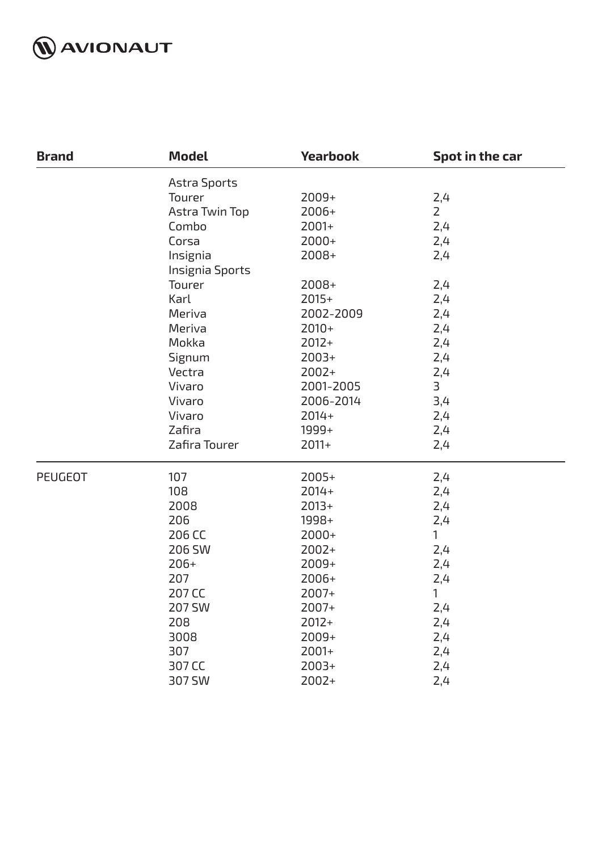

| <b>Brand</b>   | <b>Model</b>    | <b>Yearbook</b> | Spot in the car |
|----------------|-----------------|-----------------|-----------------|
|                | Astra Sports    |                 |                 |
|                | Tourer          | 2009+           | 2,4             |
|                | Astra Twin Top  | 2006+           | $\overline{2}$  |
|                | Combo           | $2001+$         | 2,4             |
|                | Corsa           | $2000+$         | 2,4             |
|                | Insignia        | 2008+           | 2,4             |
|                | Insignia Sports |                 |                 |
|                | Tourer          | $2008+$         | 2,4             |
|                | Karl            | $2015+$         | 2,4             |
|                | Meriva          | 2002-2009       | 2,4             |
|                | Meriva          | $2010+$         | 2,4             |
|                | Mokka           | $2012+$         | 2,4             |
|                | Signum          | $2003+$         | 2,4             |
|                | Vectra          | $2002+$         | 2,4             |
|                | Vivaro          | 2001-2005       | 3               |
|                | Vivaro          | 2006-2014       | 3,4             |
|                | Vivaro          | $2014+$         | 2,4             |
|                | Zafira          | 1999+           | 2,4             |
|                | Zafira Tourer   | $2011+$         | 2,4             |
| <b>PEUGEOT</b> | 107             | $2005+$         | 2,4             |
|                | 108             | $2014+$         | 2,4             |
|                | 2008            | $2013+$         | 2,4             |
|                | 206             | 1998+           | 2,4             |
|                | 206 CC          | $2000+$         | 1               |
|                | 206 SW          | $2002+$         | 2,4             |
|                | $206+$          | $2009+$         | 2,4             |
|                | 207             | 2006+           | 2,4             |
|                | 207 CC          | 2007+           | 1               |
|                | <b>207 SW</b>   | $2007+$         | 2,4             |
|                | 208             | $2012+$         | 2,4             |
|                | 3008            | $2009+$         | 2,4             |
|                | 307             | $2001+$         | 2,4             |
|                | 307 CC          | $2003+$         | 2,4             |
|                | 307 SW          | 2002+           | 2,4             |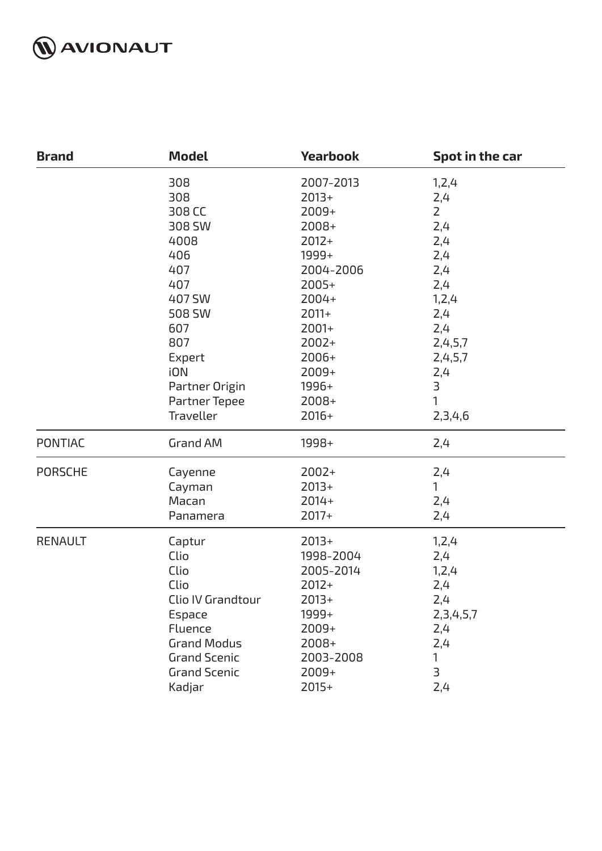

| <b>Brand</b>   | <b>Model</b>        | <b>Yearbook</b> | Spot in the car         |
|----------------|---------------------|-----------------|-------------------------|
|                | 308                 | 2007-2013       | 1, 2, 4                 |
|                | 308                 | $2013+$         | 2,4                     |
|                | 308 CC              | 2009+           | $\overline{2}$          |
|                | 308 SW              | 2008+           | 2,4                     |
|                | 4008                | $2012+$         | 2,4                     |
|                | 406                 | 1999+           | 2,4                     |
|                | 407                 | 2004-2006       | 2,4                     |
|                | 407                 | 2005+           | 2,4                     |
|                | 407 SW              | 2004+           | 1, 2, 4                 |
|                | 508 SW              | $2011+$         | 2,4                     |
|                | 607                 | 2001+           | 2,4                     |
|                | 807                 | $2002+$         | 2,4,5,7                 |
|                | Expert              | 2006+           | 2,4,5,7                 |
|                | iON                 | 2009+           | 2,4                     |
|                | Partner Origin      | 1996+           | $\overline{3}$          |
|                | Partner Tepee       | 2008+           | 1                       |
|                | Traveller           | $2016+$         | 2,3,4,6                 |
| <b>PONTIAC</b> | <b>Grand AM</b>     | 1998+           | 2,4                     |
| <b>PORSCHE</b> | Cayenne             | $2002+$         | 2,4                     |
|                | Cayman              | $2013+$         | 1                       |
|                | Macan               | $2014+$         | 2,4                     |
|                | Panamera            | $2017+$         | 2,4                     |
| <b>RENAULT</b> | Captur              | $2013+$         | 1, 2, 4                 |
|                | Clio                | 1998-2004       | 2,4                     |
|                | Clio                | 2005-2014       | 1, 2, 4                 |
|                | Clio                | $2012+$         | 2,4                     |
|                | Clio IV Grandtour   | $2013+$         | 2,4                     |
|                | Espace              | 1999+           | 2, 3, 4, 5, 7           |
|                | Fluence             | 2009+           | 2,4                     |
|                | <b>Grand Modus</b>  | 2008+           | 2,4                     |
|                | <b>Grand Scenic</b> | 2003-2008       | 1                       |
|                | <b>Grand Scenic</b> | 2009+           | $\overline{\mathsf{B}}$ |
|                | Kadjar              | $2015+$         | 2,4                     |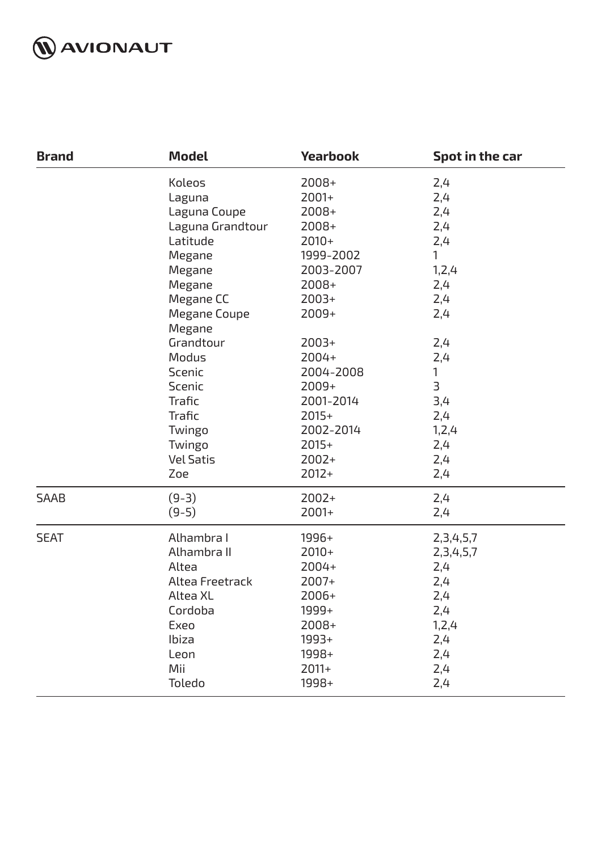

| <b>Brand</b> | <b>Model</b>                                                                                                                                                                                                                                              | <b>Yearbook</b>                                                                                                                                                                                                              | Spot in the car                                                                                                                                           |
|--------------|-----------------------------------------------------------------------------------------------------------------------------------------------------------------------------------------------------------------------------------------------------------|------------------------------------------------------------------------------------------------------------------------------------------------------------------------------------------------------------------------------|-----------------------------------------------------------------------------------------------------------------------------------------------------------|
|              | Koleos<br>Laguna<br>Laguna Coupe<br>Laguna Grandtour<br>Latitude<br>Megane<br>Megane<br>Megane<br>Megane CC<br><b>Megane Coupe</b><br>Megane<br>Grandtour<br>Modus<br>Scenic<br>Scenic<br>Trafic<br>Trafic<br>Twingo<br>Twingo<br><b>Vel Satis</b><br>Zoe | 2008+<br>$2001+$<br>$2008+$<br>2008+<br>$2010+$<br>1999-2002<br>2003-2007<br>$2008+$<br>$2003+$<br>$2009+$<br>$2003+$<br>2004+<br>2004-2008<br>$2009+$<br>2001-2014<br>$2015+$<br>2002-2014<br>$2015+$<br>$2002+$<br>$2012+$ | 2,4<br>2,4<br>2,4<br>2,4<br>2,4<br>1<br>1,2,4<br>2,4<br>2,4<br>2,4<br>2,4<br>2,4<br>$\mathbf{1}$<br>$\exists$<br>3,4<br>2,4<br>1,2,4<br>2,4<br>2,4<br>2,4 |
| <b>SAAB</b>  | $(9-3)$                                                                                                                                                                                                                                                   | $2002+$                                                                                                                                                                                                                      | 2,4                                                                                                                                                       |
|              | $(9-5)$                                                                                                                                                                                                                                                   | $2001+$                                                                                                                                                                                                                      | 2,4                                                                                                                                                       |
| <b>SEAT</b>  | Alhambra I                                                                                                                                                                                                                                                | 1996+                                                                                                                                                                                                                        | 2, 3, 4, 5, 7                                                                                                                                             |
|              | Alhambra II                                                                                                                                                                                                                                               | $2010+$                                                                                                                                                                                                                      | 2,3,4,5,7                                                                                                                                                 |
|              | Altea                                                                                                                                                                                                                                                     | 2004+                                                                                                                                                                                                                        | 2,4                                                                                                                                                       |
|              | Altea Freetrack                                                                                                                                                                                                                                           | $2007+$                                                                                                                                                                                                                      | 2,4                                                                                                                                                       |
|              | Altea XL                                                                                                                                                                                                                                                  | 2006+                                                                                                                                                                                                                        | 2,4                                                                                                                                                       |
|              | Cordoba                                                                                                                                                                                                                                                   | 1999+                                                                                                                                                                                                                        | 2,4                                                                                                                                                       |
|              | Exeo                                                                                                                                                                                                                                                      | 2008+                                                                                                                                                                                                                        | 1, 2, 4                                                                                                                                                   |
|              | Ibiza                                                                                                                                                                                                                                                     | 1993+                                                                                                                                                                                                                        | 2,4                                                                                                                                                       |
|              | Leon                                                                                                                                                                                                                                                      | 1998+                                                                                                                                                                                                                        | 2,4                                                                                                                                                       |
|              | Mii                                                                                                                                                                                                                                                       | $2011+$                                                                                                                                                                                                                      | 2,4                                                                                                                                                       |
|              | Toledo                                                                                                                                                                                                                                                    | 1998+                                                                                                                                                                                                                        | 2,4                                                                                                                                                       |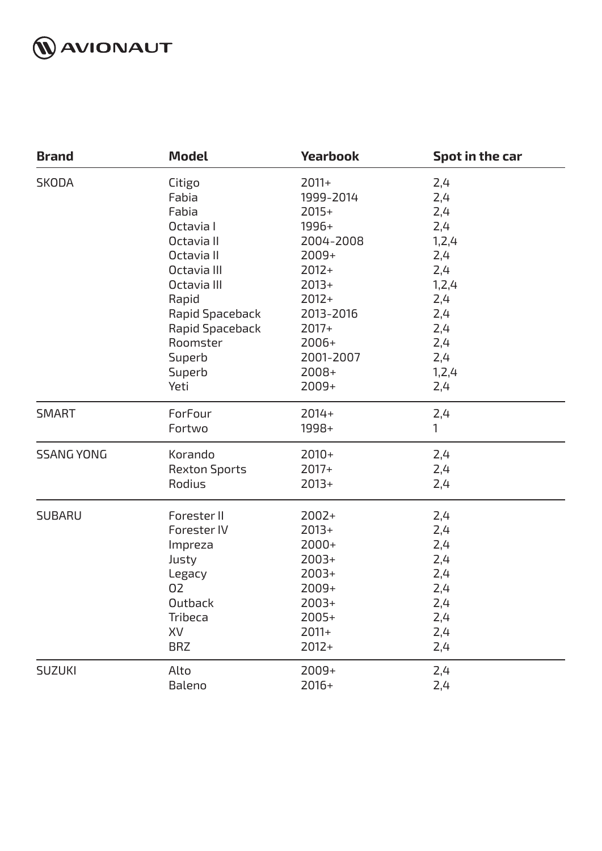

| <b>Brand</b>      | <b>Model</b>         | <b>Yearbook</b> | Spot in the car |
|-------------------|----------------------|-----------------|-----------------|
| <b>SKODA</b>      | Citigo               | $2011+$         | 2,4             |
|                   | Fabia                | 1999-2014       | 2,4             |
|                   | Fabia                | $2015+$         | 2,4             |
|                   | Octavia I            | 1996+           | 2,4             |
|                   | Octavia II           | 2004-2008       | 1,2,4           |
|                   | Octavia II           | $2009+$         | 2,4             |
|                   | Octavia III          | $2012+$         | 2,4             |
|                   | Octavia III          | $2013+$         | 1, 2, 4         |
|                   | Rapid                | $2012+$         | 2,4             |
|                   | Rapid Spaceback      | 2013-2016       | 2,4             |
|                   | Rapid Spaceback      | $2017+$         | 2,4             |
|                   | Roomster             | $2006+$         | 2,4             |
|                   | Superb               | 2001-2007       | 2,4             |
|                   | Superb               | 2008+           | 1,2,4           |
|                   | Yeti                 | 2009+           | 2,4             |
| <b>SMART</b>      | ForFour              | $2014+$         | 2,4             |
|                   | Fortwo               | 1998+           | 1               |
| <b>SSANG YONG</b> | Korando              | $2010+$         | 2,4             |
|                   | <b>Rexton Sports</b> | $2017+$         | 2,4             |
|                   | Rodius               | $2013+$         | 2,4             |
| <b>SUBARU</b>     | Forester II          | $2002+$         | 2,4             |
|                   | Forester IV          | $2013+$         | 2,4             |
|                   | Impreza              | $2000+$         | 2,4             |
|                   | Justy                | $2003+$         | 2,4             |
|                   | Legacy               | $2003+$         | 2,4             |
|                   | 02                   | 2009+           | 2,4             |
|                   | Outback              | $2003+$         | 2,4             |
|                   | Tribeca              | $2005+$         | 2,4             |
|                   | XV                   | $2011+$         | 2,4             |
|                   | <b>BRZ</b>           | $2012+$         | 2,4             |
| <b>SUZUKI</b>     | Alto                 | 2009+           | 2,4             |
|                   | Baleno               | $2016+$         | 2,4             |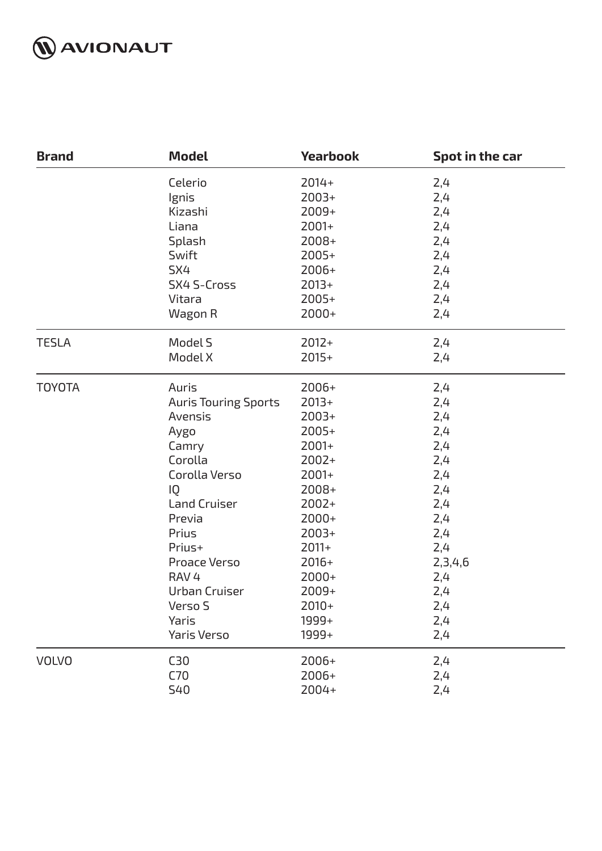

| <b>Brand</b>  | <b>Model</b>                | <b>Yearbook</b> | Spot in the car |
|---------------|-----------------------------|-----------------|-----------------|
|               | Celerio                     | $2014+$         | 2,4             |
|               | Ignis                       | $2003+$         | 2,4             |
|               | Kizashi                     | 2009+           | 2,4             |
|               | Liana                       | 2001+           | 2,4             |
|               | Splash                      | 2008+           | 2,4             |
|               | Swift                       | 2005+           | 2,4             |
|               | SX4                         | 2006+           | 2,4             |
|               | <b>SX4 S-Cross</b>          | $2013+$         | 2,4             |
|               | Vitara                      | 2005+           | 2,4             |
|               | Wagon R                     | $2000+$         | 2,4             |
| <b>TESLA</b>  | Model S                     | $2012+$         | 2,4             |
|               | Model X                     | $2015+$         | 2,4             |
| <b>TOYOTA</b> | Auris                       | 2006+           | 2,4             |
|               | <b>Auris Touring Sports</b> | $2013+$         | 2,4             |
|               | Avensis                     | $2003+$         | 2,4             |
|               | Aygo                        | 2005+           | 2,4             |
|               | Camry                       | 2001+           | 2,4             |
|               | Corolla                     | $2002+$         | 2,4             |
|               | Corolla Verso               | 2001+           | 2,4             |
|               | IQ                          | 2008+           | 2,4             |
|               | <b>Land Cruiser</b>         | $2002+$         | 2,4             |
|               | Previa                      | 2000+           | 2,4             |
|               | Prius                       | $2003+$         | 2,4             |
|               | Prius+                      | $2011+$         | 2,4             |
|               | <b>Proace Verso</b>         | $2016+$         | 2,3,4,6         |
|               | RAV <sub>4</sub>            | 2000+           | 2,4             |
|               | Urban Cruiser               | $2009+$         | 2,4             |
|               | Verso S                     | $2010+$         | 2,4             |
|               | Yaris                       | 1999+           | 2,4             |
|               | <b>Yaris Verso</b>          | 1999+           | 2,4             |
| <b>VOLVO</b>  | C <sub>30</sub>             | 2006+           | 2,4             |
|               | C70                         | 2006+           | 2,4             |
|               | <b>S40</b>                  | 2004+           | 2,4             |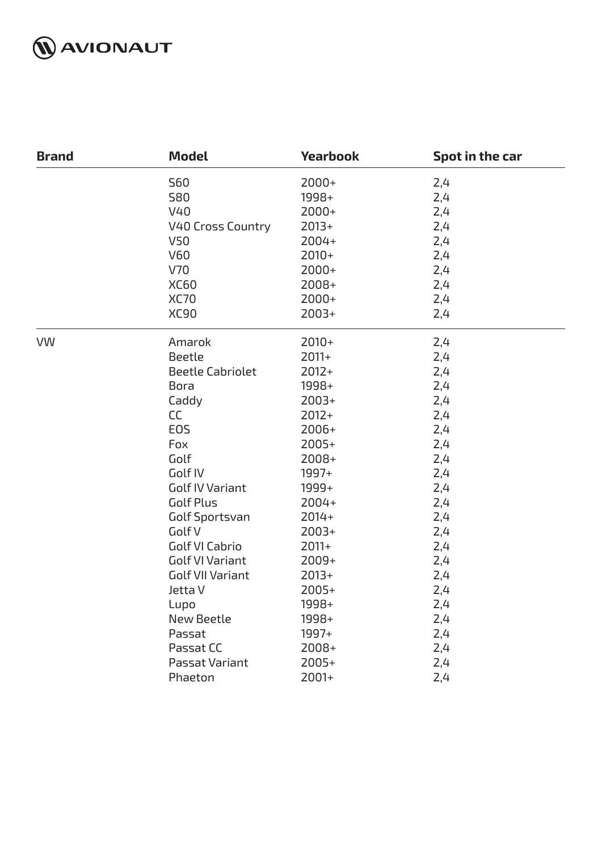

| <b>Brand</b> | <b>Model</b>             | <b>Yearbook</b> | Spot in the car |
|--------------|--------------------------|-----------------|-----------------|
|              | <b>S60</b>               | $2000+$         | 2,4             |
|              | <b>S80</b>               | 1998+           | 2,4             |
|              | V40                      | $2000+$         | 2,4             |
|              | <b>V40 Cross Country</b> | $2013+$         | 2,4             |
|              | V50                      | $2004+$         | 2,4             |
|              | <b>V60</b>               | $2010+$         | 2,4             |
|              | V70                      | $2000+$         | 2,4             |
|              | <b>XC60</b>              | 2008+           | 2,4             |
|              | <b>XC70</b>              | 2000+           | 2,4             |
|              | <b>XC90</b>              | $2003+$         | 2,4             |
| <b>VW</b>    | Amarok                   | $2010+$         | 2,4             |
|              | <b>Beetle</b>            | $2011+$         | 2,4             |
|              | <b>Beetle Cabriolet</b>  | $2012+$         | 2,4             |
|              | <b>Bora</b>              | 1998+           | 2,4             |
|              | Caddy                    | $2003+$         | 2,4             |
|              | <b>CC</b>                | $2012+$         | 2,4             |
|              | EOS                      | 2006+           | 2,4             |
|              | Fox                      | $2005+$         | 2,4             |
|              | Golf                     | 2008+           | 2,4             |
|              | Golf IV                  | 1997+           | 2,4             |
|              | <b>Golf IV Variant</b>   | 1999+           | 2,4             |
|              | Golf Plus                | 2004+           | 2,4             |
|              | Golf Sportsvan           | $2014+$         | 2,4             |
|              | Golf V                   | $2003+$         | 2,4             |
|              | Golf VI Cabrio           | $2011+$         | 2,4             |
|              | <b>Golf VI Variant</b>   | $2009+$         | 2,4             |
|              | <b>Golf VII Variant</b>  | $2013+$         | 2,4             |
|              | Jetta V                  | $2005+$         | 2,4             |
|              | Lupo                     | 1998+           | 2,4             |
|              | <b>New Beetle</b>        | 1998+           | 2,4             |
|              | Passat                   | 1997+           | 2,4             |
|              | Passat CC                | $2008+$         | 2,4             |
|              | Passat Variant           | $2005+$         | 2,4             |
|              | Phaeton                  | 2001+           | 2,4             |